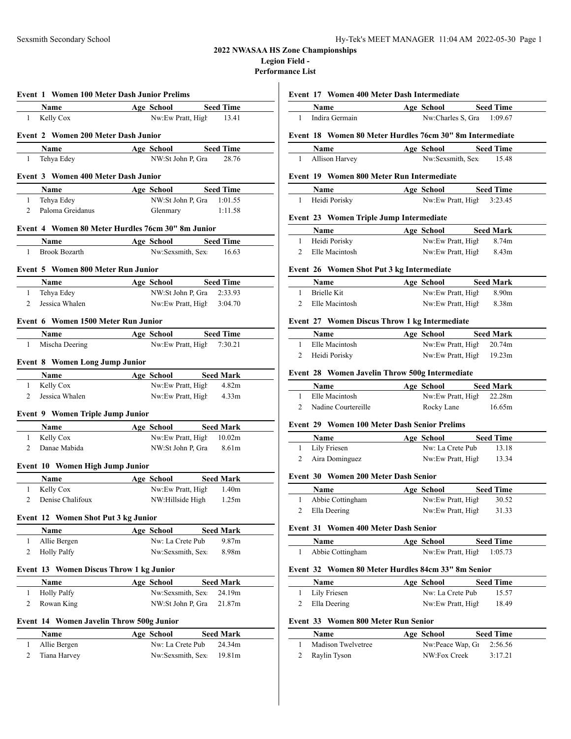### **2022 NWASAA HS Zone Championships Legion Field -**

**Performance List**  $\mathbf{I}$ 

|                                |                                                | <b>Event 1 Women 100 Meter Dash Junior Prelims</b> |
|--------------------------------|------------------------------------------------|----------------------------------------------------|
|                                | Name                                           | Age School<br><b>Seed Time</b>                     |
| $\mathbf{1}$                   | Kelly Cox                                      | Nw:Ew Pratt, High 13.41                            |
|                                |                                                |                                                    |
|                                | <b>Event 2 Women 200 Meter Dash Junior</b>     |                                                    |
|                                | Name                                           | <b>Seed Time</b><br><b>Age School</b>              |
| $\mathbf{1}$                   | Tehya Edey                                     | NW:St John P, Gra<br>28.76                         |
|                                | Event 3 Women 400 Meter Dash Junior            |                                                    |
|                                | Name                                           | Age School Seed Time                               |
| $\mathbf{1}$                   | Tehya Edey                                     | NW:St John P, Gra 1:01.55                          |
| $\overline{2}$                 | Paloma Greidanus                               | 1:11.58<br>Glenmary                                |
|                                |                                                |                                                    |
|                                |                                                | Event 4 Women 80 Meter Hurdles 76cm 30" 8m Junior  |
|                                | Name                                           | Age School<br><b>Seed Time</b>                     |
| $\mathbf{1}$                   | <b>Brook Bozarth</b>                           | Nw:Sexsmith, Sex<br>16.63                          |
|                                | Event 5 Women 800 Meter Run Junior             |                                                    |
|                                |                                                | Age School Seed Time                               |
| 1                              | Name<br>Tehya Edey                             | NW:St John P, Gra 2:33.93                          |
| $\overline{2}$                 | Jessica Whalen                                 | Nw:Ew Pratt, High 3:04.70                          |
|                                |                                                |                                                    |
|                                | Event 6 Women 1500 Meter Run Junior            |                                                    |
|                                | Name                                           | Age School Seed Time                               |
| $\mathbf{1}$                   | Mischa Deering                                 | Nw:Ew Pratt, High 7:30.21                          |
|                                |                                                |                                                    |
|                                | <b>Event 8 Women Long Jump Junior</b>          |                                                    |
|                                | Name                                           | Age School<br><b>Seed Mark</b>                     |
| 1<br>2                         | Kelly Cox<br>Jessica Whalen                    | Nw:Ew Pratt, High 4.82m<br>4.33 <sub>m</sub>       |
|                                |                                                | Nw:Ew Pratt, High                                  |
|                                | <b>Event 9 Women Triple Jump Junior</b>        |                                                    |
|                                | Name                                           | Age School Seed Mark                               |
| $1 \quad$                      | Kelly Cox                                      | Nw:Ew Pratt, High 10.02m                           |
| 2                              | Danae Mabida                                   | NW:St John P, Gra 8.61m                            |
|                                |                                                |                                                    |
|                                | Event 10 Women High Jump Junior                |                                                    |
|                                | Name                                           | Age School Seed Mark                               |
| $\mathbf{1}$<br>$\overline{2}$ | Kelly Cox<br>Denise Chalifoux                  | Nw:Ew Pratt, High 1.40m<br>NW:Hillside High 1.25m  |
|                                |                                                |                                                    |
|                                | Event 12 Women Shot Put 3 kg Junior            |                                                    |
|                                | Name                                           | <b>Age School</b><br><b>Seed Mark</b>              |
| 1                              | Allie Bergen                                   | Nw: La Crete Pub<br>9.87m                          |
| 2                              | <b>Holly Palfy</b>                             | Nw:Sexsmith, Sex<br>8.98m                          |
|                                |                                                |                                                    |
|                                | <b>Event 13 Women Discus Throw 1 kg Junior</b> |                                                    |
|                                | Name                                           | <b>Seed Mark</b><br>Age School                     |
| 1                              | <b>Holly Palfy</b>                             | Nw:Sexsmith, Sex<br>24.19m                         |
| 2                              | Rowan King                                     | NW:St John P, Gra<br>21.87m                        |
|                                | Event 14 Women Javelin Throw 500g Junior       |                                                    |
|                                | Name                                           | <b>Seed Mark</b><br>Age School                     |
| 1                              | Allie Bergen                                   | Nw: La Crete Pub<br>24.34m                         |
| 2                              | Tiana Harvey                                   | Nw:Sexsmith, Sex<br>19.81m                         |
|                                |                                                |                                                    |

## **Event 17 Women 400 Meter Dash Intermediate**

| <b>Name</b>                                              | Age School                | <b>Seed Time</b> |
|----------------------------------------------------------|---------------------------|------------------|
| Indira Germain                                           | Nw:Charles S, Gra 1:09.67 |                  |
| Event 18 Women 80 Meter Hurdles 76cm 30" 8m Intermediate |                           |                  |
|                                                          |                           |                  |
| <b>Name</b>                                              | Age School                | <b>Seed Time</b> |
| Allison Harvey                                           | Nw:Sexsmith, Sex:         | 15.48            |

| <b>Name</b>     | Age School                | <b>Seed Time</b> |
|-----------------|---------------------------|------------------|
| 1 Heidi Porisky | Nw:Ew Pratt, High 3:23.45 |                  |

## **Event 23 Women Triple Jump Intermediate**

| Name           | Age School        | <b>Seed Mark</b> |
|----------------|-------------------|------------------|
| Heidi Porisky  | Nw:Ew Pratt, High | 8.74m            |
| Elle Macintosh | Nw:Ew Pratt, High | 8.43m            |

### **Event 26 Women Shot Put 3 kg Intermediate**

| <b>Name</b>    | Age School        | <b>Seed Mark</b> |
|----------------|-------------------|------------------|
| Brielle Kit    | Nw:Ew Pratt, High | 8.90m            |
| Elle Macintosh | Nw:Ew Pratt, High | 8.38m            |

### **Event 27 Women Discus Throw 1 kg Intermediate**

| <b>Name</b>    | Age School               | <b>Seed Mark</b> |  |
|----------------|--------------------------|------------------|--|
| Elle Macintosh | Nw:Ew Pratt, High 20.74m |                  |  |
| Heidi Porisky  | Nw:Ew Pratt, High 19.23m |                  |  |

### **Event 28 Women Javelin Throw 500g Intermediate**

| <b>Name</b>         | Age School | <b>Seed Mark</b>         |  |
|---------------------|------------|--------------------------|--|
| Elle Macintosh      |            | Nw:Ew Pratt, High 22.28m |  |
| Nadine Courtereille | Rocky Lane | 16.65m                   |  |

### **Event 29 Women 100 Meter Dash Senior Prelims**

| <b>Name</b>    | Age School        | <b>Seed Time</b> |  |
|----------------|-------------------|------------------|--|
| Lily Friesen   | Nw: La Crete Pub  | 13.18            |  |
| Aira Dominguez | Nw:Ew Pratt, High | 13.34            |  |

## **Event 30 Women 200 Meter Dash Senior**

| Name             | Age School        | <b>Seed Time</b> |
|------------------|-------------------|------------------|
| Abbie Cottingham | Nw:Ew Pratt, High | 30.52            |
| Ella Deering     | Nw:Ew Pratt, High | 31.33            |

### **Event 31 Women 400 Meter Dash Senior**

| <b>Name</b>        | Age School | <b>Seed Time</b>               |
|--------------------|------------|--------------------------------|
| 1 Abbie Cottingham |            | $Nw: Ew$ Pratt, High $1:05.73$ |

## **Event 32 Women 80 Meter Hurdles 84cm 33" 8m Senior**

| <b>Name</b>    | Age School        | <b>Seed Time</b> |  |
|----------------|-------------------|------------------|--|
| 1 Lily Friesen | Nw: La Crete Pub  | 15.57            |  |
| 2 Ella Deering | Nw:Ew Pratt, High | 18.49            |  |

## **Event 33 Women 800 Meter Run Senior**

| <b>Name</b>        | Age School                  | <b>Seed Time</b> |
|--------------------|-----------------------------|------------------|
| Madison Twelvetree | Nw:Peace Wap, $G_1$ 2:56.56 |                  |
| 2 Raylin Tyson     | NW:Fox Creek                | 3:17.21          |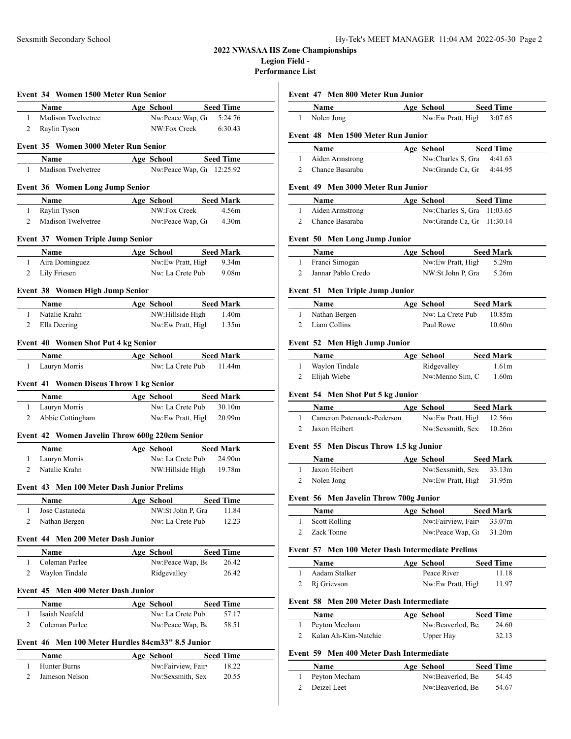### **2022 NWASAA HS Zone Championships Legion Field -**

**Performance List**

|                | Event 34 Women 1500 Meter Run Senior       |                                                               | Event 4                                           |
|----------------|--------------------------------------------|---------------------------------------------------------------|---------------------------------------------------|
|                |                                            | Name Age School Seed Time                                     |                                                   |
| 1              | Madison Twelvetree                         | Nw:Peace Wap, $G_1$ 5:24.76                                   | $\mathbf{1}$                                      |
| 2              | Raylin Tyson                               | NW:Fox Creek<br>6:30.43                                       | Event 4                                           |
|                | Event 35 Women 3000 Meter Run Senior       |                                                               |                                                   |
|                | <b>Name</b>                                | Age School Seed Time                                          | 1                                                 |
| 1              | Madison Twelvetree                         | Nw:Peace Wap, G1 12:25.92                                     | $\overline{2}$                                    |
|                |                                            |                                                               |                                                   |
|                | <b>Event 36 Women Long Jump Senior</b>     |                                                               | Event 4                                           |
|                | <b>Name</b>                                | Age School Seed Mark                                          |                                                   |
| 1              | Raylin Tyson                               | NW:Fox Creek<br>4.56m                                         | 1                                                 |
| 2              |                                            | Madison Twelvetree Nw:Peace Wap, G1 4.30m                     | $2\quad C$                                        |
|                | Event 37 Women Triple Jump Senior          |                                                               | Event 5                                           |
|                |                                            | Name Age School Seed Mark                                     |                                                   |
| $\mathbf{1}$   | Aira Dominguez                             | Nw:Ew Pratt, High<br>9.34 <sub>m</sub>                        | $\mathbf{1}$                                      |
|                | 2 Lily Friesen                             | Nw: La Crete Pub<br>9.08 <sub>m</sub>                         | $\mathbf{2}$                                      |
|                |                                            |                                                               |                                                   |
|                | Event 38 Women High Jump Senior            |                                                               | Event 5                                           |
|                | <b>Name</b>                                | <b>Example 2 Age School Seed Mark</b>                         |                                                   |
|                | 1 Natalie Krahn                            | NW:Hillside High 1.40m                                        | $\mathbf{1}$                                      |
|                | 2 Ella Deering                             | Nw:Ew Pratt, High 1.35m                                       | 2 L                                               |
|                | Event 40 Women Shot Put 4 kg Senior        |                                                               | Event 5                                           |
|                | <b>Name</b>                                | Age School Seed Mark                                          |                                                   |
| 1              | Lauryn Morris                              | Nw: La Crete Pub 11.44m                                       | $\mathbf{1}$                                      |
|                |                                            |                                                               | 2 E                                               |
|                | Event 41 Women Discus Throw 1 kg Senior    |                                                               |                                                   |
|                |                                            | <b>Name</b> Age School Seed Mark                              | Event 5                                           |
|                | 1 Lauryn Morris                            | Nw: La Crete Pub 30.10m                                       |                                                   |
| $\overline{2}$ | Abbie Cottingham                           | Nw:Ew Pratt, High 20.99m                                      | 1                                                 |
|                |                                            | Event 42 Women Javelin Throw 600g 220cm Senior                | 2                                                 |
|                | Name                                       | Age School Seed Mark                                          | Event 5                                           |
|                | 1 Lauryn Morris                            | Nw: La Crete Pub 24.90m                                       |                                                   |
|                | 2 Natalie Krahn                            | NW:Hillside High 19.78m                                       | $\mathbf{1}$                                      |
|                |                                            |                                                               | $\overline{2}$                                    |
|                | Event 43 Men 100 Meter Dash Junior Prelims |                                                               |                                                   |
|                | Name                                       | Seed Time<br><b>Age School</b>                                | Event 5                                           |
| 1              | Jose Castaneda                             | NW:St John P, Gra<br>11.84                                    |                                                   |
|                | Nathan Bergen                              | Nw: La Crete Pub<br>12.23                                     | $\mathbf{1}$                                      |
| 2              |                                            |                                                               | 2                                                 |
|                | Event 44 Men 200 Meter Dash Junior         |                                                               |                                                   |
|                |                                            |                                                               |                                                   |
| 1              | Name<br>Coleman Parlee                     | Age School<br><b>Seed Time</b><br>26.42                       |                                                   |
| 2              | Waylon Tindale                             | Nw:Peace Wap, Be<br>Ridgevalley<br>26.42                      |                                                   |
|                |                                            |                                                               |                                                   |
|                | Event 45 Men 400 Meter Dash Junior         |                                                               |                                                   |
|                | Name                                       | Age School<br><b>Seed Time</b>                                |                                                   |
| $\mathbf{1}$   | Isaiah Neufeld                             | Nw: La Crete Pub<br>57.17                                     |                                                   |
| 2              | Coleman Parlee                             | Nw:Peace Wap, Be<br>58.51                                     |                                                   |
|                |                                            |                                                               |                                                   |
|                |                                            | Event 46 Men 100 Meter Hurdles 84cm33" 8.5 Junior             |                                                   |
| $\mathbf{1}$   | Name<br>Hunter Burns                       | <b>Seed Time</b><br>Age School<br>Nw:Fairview, Fairv<br>18.22 | Event 5<br>1<br>2<br>Event 5<br>1<br>2<br>Event 5 |

### **Event 47 Men 800 Meter Run Junior**

|               | Name                               | Age School | <b>Seed Time</b>           |  |
|---------------|------------------------------------|------------|----------------------------|--|
| $\mathbf{1}$  | Nolen Jong                         |            | Nw:Ew Pratt, High 3:07.65  |  |
|               | Event 48 Men 1500 Meter Run Junior |            |                            |  |
|               | <b>Name</b>                        | Age School | <b>Seed Time</b>           |  |
| 1             | Aiden Armstrong                    |            | Nw:Charles S, Gra 4:41.63  |  |
|               |                                    |            |                            |  |
| $\mathcal{P}$ | Chance Basaraba                    |            | Nw:Grande Ca, Gr 4:44.95   |  |
|               | Event 49 Men 3000 Meter Run Junior |            |                            |  |
|               | Name                               | Age School | <b>Seed Time</b>           |  |
| 1             | Aiden Armstrong                    |            | Nw:Charles S, Gra 11:03.65 |  |
| $\mathcal{P}$ | Chance Basaraba                    |            | Nw:Grande Ca, Gr 11:30.14  |  |
|               | Event 50 Men Long Jump Junior      |            |                            |  |

| Name               | Age School | <b>Seed Mark</b>  |       |
|--------------------|------------|-------------------|-------|
| Franci Simogan     |            | Nw:Ew Pratt, High | 5.29m |
| Jannar Pablo Credo |            | NW:St John P. Gra | 5.26m |

### **Event 51 Men Triple Jump Junior**

| <b>Name</b>   | Age School       | <b>Seed Mark</b> |
|---------------|------------------|------------------|
| Nathan Bergen | Nw: La Crete Pub | 10.85m           |
| Liam Collins  | Paul Rowe        | 10.60m           |

### **Event 52 Men High Jump Junior**

| <b>Name</b>    | Age School      | <b>Seed Mark</b>  |
|----------------|-----------------|-------------------|
| Waylon Tindale | Ridgevalley     | 1.61 <sub>m</sub> |
| Elijah Wiebe   | Nw:Menno Sim, C | 1.60m             |

## **Event 54 Men Shot Put 5 kg Junior**

| <b>Name</b>                | Age School |                          | <b>Seed Mark</b> |
|----------------------------|------------|--------------------------|------------------|
| Cameron Patenaude-Pederson |            | Nw:Ew Pratt, High 12.56m |                  |
| Jaxon Heibert              |            | Nw:Sexsmith, Sex         | 10.26m           |

## **Event 55 Men Discus Throw 1.5 kg Junior**

| <b>Name</b>   | Age School | <b>Seed Mark</b>             |  |
|---------------|------------|------------------------------|--|
| Jaxon Heibert |            | $Nw:$ Sexsmith, Sex $33.13m$ |  |
| 2 Nolen Jong  |            | Nw:Ew Pratt, High 31.95m     |  |

## **Event 56 Men Javelin Throw 700g Junior**

| Name          | Age School                 | <b>Seed Mark</b> |
|---------------|----------------------------|------------------|
| Scott Rolling | Nw:Fairview, Fairv 33.07m  |                  |
| Zack Tonne    | Nw:Peace Wap, $G_1$ 31.20m |                  |

## **Event 57 Men 100 Meter Dash Intermediate Prelims**

| <b>Name</b>   | Age School        | <b>Seed Time</b> |
|---------------|-------------------|------------------|
| Aadam Stalker | Peace River       | 11.18            |
| 2 Ri Grievson | Nw:Ew Pratt, High | 11.97            |

### **Event 58 Men 200 Meter Dash Intermediate**

| Name                 | Age School       | <b>Seed Time</b> |  |
|----------------------|------------------|------------------|--|
| 1 Peyton Mecham      | Nw:Beaverlod, Be | 24.60            |  |
| Kalan Ah-Kim-Natchie | Upper Hay        | 32.13            |  |

## **Event 59 Men 400 Meter Dash Intermediate**

| <b>Name</b>   | Age School       | <b>Seed Time</b> |
|---------------|------------------|------------------|
| Peyton Mecham | Nw:Beaverlod, Be | 54.45            |
| Deizel Leet   | Nw:Beaverlod, Be | 54.67            |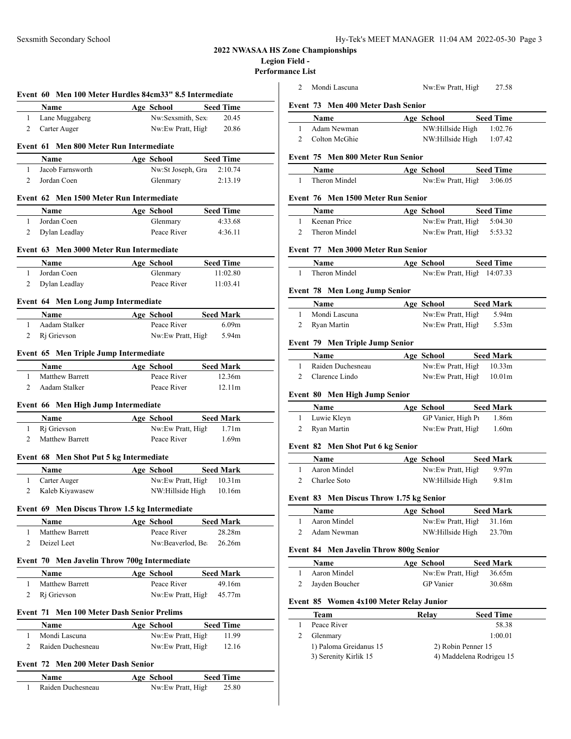# **2022 NWASAA HS Zone Championships**

## **Legion Field -**

**Performance List**

|                | Event 60 Men 100 Meter Hurdles 84cm33" 8.5 Intermediate |                                        |                           |  |
|----------------|---------------------------------------------------------|----------------------------------------|---------------------------|--|
|                | Name                                                    | Age School                             | <b>Seed Time</b>          |  |
| 1              | Lane Muggaberg                                          | Nw:Sexsmith, Sex                       | 20.45                     |  |
| 2              | Carter Auger                                            | Nw:Ew Pratt, High                      | 20.86                     |  |
|                | Event 61 Men 800 Meter Run Intermediate                 |                                        |                           |  |
|                | Name                                                    | Age School                             | <b>Seed Time</b>          |  |
| $\mathbf{1}$   | Jacob Farnsworth                                        | Nw:St Joseph, Gra                      | 2:10.74                   |  |
| $\overline{2}$ | Jordan Coen                                             | Glenmary                               | 2:13.19                   |  |
|                | Event 62 Men 1500 Meter Run Intermediate                |                                        |                           |  |
|                | <b>Name</b>                                             | Age School                             | <b>Seed Time</b>          |  |
| $\mathbf{1}$   | Jordan Coen                                             | Glenmary                               | 4:33.68                   |  |
| $\overline{2}$ | Dylan Leadlay                                           | Peace River                            | 4:36.11                   |  |
|                | Event 63 Men 3000 Meter Run Intermediate                |                                        |                           |  |
|                | Name                                                    | Age School                             | <b>Seed Time</b>          |  |
| $\mathbf{1}$   | Jordan Coen                                             | Glenmary                               | 11:02.80                  |  |
| 2              | Dylan Leadlay                                           | Peace River                            | 11:03.41                  |  |
|                |                                                         |                                        |                           |  |
|                | Event 64 Men Long Jump Intermediate                     |                                        |                           |  |
|                | Name                                                    | Age School                             | <b>Seed Mark</b>          |  |
| $\mathbf{1}$   | Aadam Stalker                                           | Peace River                            | 6.09 <sub>m</sub>         |  |
| 2              | Ri Grievson                                             | Nw:Ew Pratt, High                      | 5.94m                     |  |
|                |                                                         |                                        |                           |  |
|                | Event 65 Men Triple Jump Intermediate                   |                                        |                           |  |
|                | Name                                                    | Age School                             | <b>Seed Mark</b>          |  |
| 1              | <b>Matthew Barrett</b>                                  | Peace River                            | 12.36m                    |  |
| $\overline{2}$ | Aadam Stalker                                           | Peace River                            | 12.11m                    |  |
|                | Event 66 Men High Jump Intermediate                     |                                        |                           |  |
|                | Name                                                    | <b>Age School</b>                      | <b>Seed Mark</b>          |  |
| 1              | Ri Grievson                                             | Nw:Ew Pratt, High 1.71m                |                           |  |
| 2              | <b>Matthew Barrett</b>                                  | Peace River                            | 1.69m                     |  |
|                | Event 68 Men Shot Put 5 kg Intermediate                 |                                        |                           |  |
|                |                                                         |                                        |                           |  |
| 1              | Name<br>Carter Auger                                    | Age School<br>Nw:Ew Pratt, High 10.31m | <b>Seed Mark</b>          |  |
| $\overline{2}$ | Kaleb Kiyawasew                                         | NW:Hillside High 10.16m                |                           |  |
|                |                                                         |                                        |                           |  |
|                | Event 69 Men Discus Throw 1.5 kg Intermediate           |                                        |                           |  |
|                | Name                                                    | Age School                             | <b>Seed Mark</b>          |  |
| 1              | <b>Matthew Barrett</b>                                  | Peace River                            | 28.28m                    |  |
| 2              | Deizel Leet                                             | Nw:Beaverlod, Be                       | 26.26m                    |  |
|                | Event 70 Men Javelin Throw 700g Intermediate            |                                        |                           |  |
|                | Name                                                    | Age School                             | <b>Seed Mark</b>          |  |
| $\mathbf{1}$   | Matthew Barrett                                         | Peace River                            | 49.16m                    |  |
| 2              | Ri Grievson                                             | Nw:Ew Pratt, High                      | 45.77m                    |  |
|                | Event 71 Men 100 Meter Dash Senior Prelims              |                                        |                           |  |
|                | Name                                                    | Age School                             | <b>Seed Time</b>          |  |
| 1              | Mondi Lascuna                                           | Nw:Ew Pratt, High                      | 11.99                     |  |
| 2              | Raiden Duchesneau                                       | Nw:Ew Pratt, High                      | 12.16                     |  |
|                | Event 72 Men 200 Meter Dash Senior                      |                                        |                           |  |
|                |                                                         |                                        |                           |  |
| 1              | Name<br>Raiden Duchesneau                               | <b>Age School</b><br>Nw:Ew Pratt, High | <b>Seed Time</b><br>25.80 |  |
|                |                                                         |                                        |                           |  |

| 2            |             | Mondi Lascuna                                 | Nw:Ew Pratt, High                                      | 27.58            |  |
|--------------|-------------|-----------------------------------------------|--------------------------------------------------------|------------------|--|
|              |             | Event 73 Men 400 Meter Dash Senior            |                                                        |                  |  |
|              | Name        |                                               | Age School                                             | <b>Seed Time</b> |  |
| 1            |             | Adam Newman                                   | NW:Hillside High 1:02.76                               |                  |  |
| 2            |             | Colton McGhie                                 | NW:Hillside High 1:07.42                               |                  |  |
|              |             |                                               |                                                        |                  |  |
|              |             | Event 75 Men 800 Meter Run Senior             |                                                        |                  |  |
|              |             | <b>Name</b>                                   | Age School                                             | <b>Seed Time</b> |  |
| 1            |             | Theron Mindel                                 | Nw:Ew Pratt, High 3:06.05                              |                  |  |
|              |             | Event 76 Men 1500 Meter Run Senior            |                                                        |                  |  |
|              |             |                                               |                                                        |                  |  |
|              |             | <b>Name</b>                                   | Age School                                             | <b>Seed Time</b> |  |
| $\mathbf{1}$ |             | Keenan Price<br>2 Theron Mindel               | Nw:Ew Pratt, High 5:04.30<br>Nw:Ew Pratt, High 5:53.32 |                  |  |
|              |             |                                               |                                                        |                  |  |
|              |             | Event 77 Men 3000 Meter Run Senior            |                                                        |                  |  |
|              | Name        |                                               | Age School                                             | <b>Seed Time</b> |  |
| $\mathbf{1}$ |             | Theron Mindel                                 | Nw:Ew Pratt, High 14:07.33                             |                  |  |
|              |             |                                               |                                                        |                  |  |
|              |             | <b>Event 78 Men Long Jump Senior</b>          |                                                        |                  |  |
|              | Name        |                                               | Age School                                             | <b>Seed Mark</b> |  |
| 1            |             | Mondi Lascuna                                 | Nw:Ew Pratt, High                                      | 5.94m            |  |
| 2            |             | Ryan Martin                                   | Nw:Ew Pratt, High                                      | 5.53m            |  |
|              |             |                                               |                                                        |                  |  |
|              |             | <b>Event 79 Men Triple Jump Senior</b>        |                                                        |                  |  |
|              | <b>Name</b> |                                               | Age School                                             | <b>Seed Mark</b> |  |
| 1            |             | Raiden Duchesneau                             | Nw:Ew Pratt, High 10.33m                               |                  |  |
| $\mathbf{2}$ |             | Clarence Lindo                                | Nw:Ew Pratt, High 10.01m                               |                  |  |
|              |             | Event 80 Men High Jump Senior                 |                                                        |                  |  |
|              | Name        |                                               | Age School                                             | <b>Seed Mark</b> |  |
|              |             |                                               |                                                        |                  |  |
| $\mathbf{1}$ |             | Luwie Kleyn                                   | GP Vanier, High P1 1.86m                               |                  |  |
| $\mathbf{2}$ |             | Ryan Martin                                   | Nw:Ew Pratt, High 1.60m                                |                  |  |
|              |             |                                               |                                                        |                  |  |
|              |             | <b>Event 82 Men Shot Put 6 kg Senior</b>      |                                                        |                  |  |
|              | Name        |                                               | Age School                                             | <b>Seed Mark</b> |  |
| 1            |             | Aaron Mindel                                  | Nw:Ew Pratt, High 9.97m                                |                  |  |
| 2            |             | Charlee Soto                                  | NW:Hillside High                                       | 9.81m            |  |
|              |             |                                               |                                                        |                  |  |
|              |             | Event 83 Men Discus Throw 1.75 kg Senior      |                                                        |                  |  |
|              | Name        |                                               | Age School                                             | <b>Seed Mark</b> |  |
| 1            |             | Aaron Mindel                                  | Nw:Ew Pratt, High                                      | 31.16m           |  |
| 2            |             | Adam Newman                                   | NW:Hillside High                                       | 23.70m           |  |
|              |             | <b>Event 84 Men Javelin Throw 800g Senior</b> |                                                        |                  |  |
|              | Name        |                                               | Age School                                             | <b>Seed Mark</b> |  |
| 1            |             | Aaron Mindel                                  | Nw:Ew Pratt, High                                      | 36.65m           |  |
| 2            |             | Jayden Boucher                                | <b>GP</b> Vanier                                       | 30.68m           |  |
|              |             |                                               |                                                        |                  |  |
|              |             | Event 85 Women 4x100 Meter Relay Junior       |                                                        |                  |  |
|              | Team        |                                               | Relay                                                  | <b>Seed Time</b> |  |
| 1            |             | Peace River                                   |                                                        | 58.38            |  |
| 2            |             | Glenmary                                      |                                                        | 1:00.01          |  |
|              |             | 1) Paloma Greidanus 15                        | 2) Robin Penner 15                                     |                  |  |
|              |             | 3) Serenity Kirlik 15                         | 4) Maddelena Rodrigeu 15                               |                  |  |